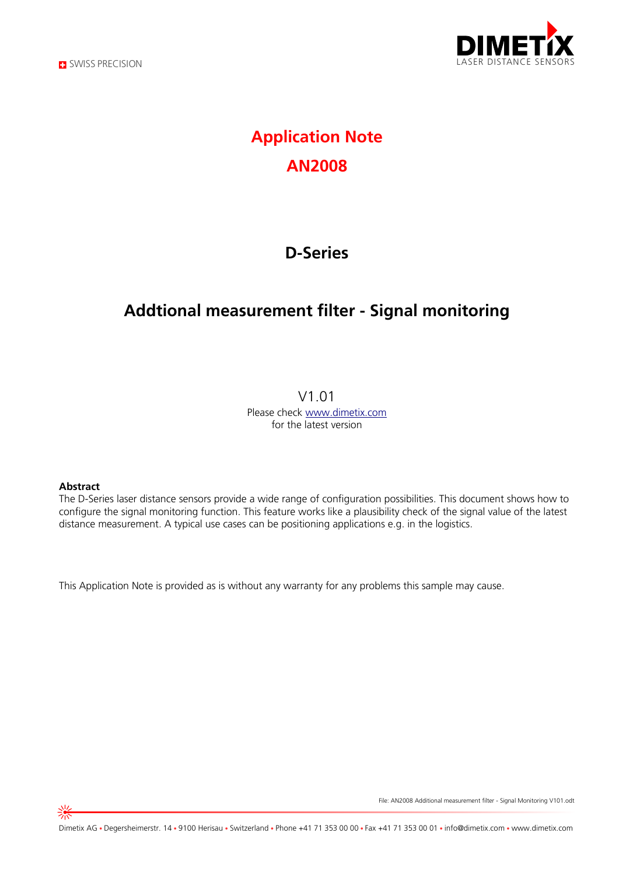



# **Application Note AN2008**

## **D-Series**

## **Addtional measurement filter - Signal monitoring**

#### V1.01

Please check [www.dimetix.com](http://www.dimetix.com/) for the latest version

#### **Abstract**

The D-Series laser distance sensors provide a wide range of configuration possibilities. This document shows how to configure the signal monitoring function. This feature works like a plausibility check of the signal value of the latest distance measurement. A typical use cases can be positioning applications e.g. in the logistics.

This Application Note is provided as is without any warranty for any problems this sample may cause.

File: AN2008 Additional measurement filter - Signal Monitoring V101.odt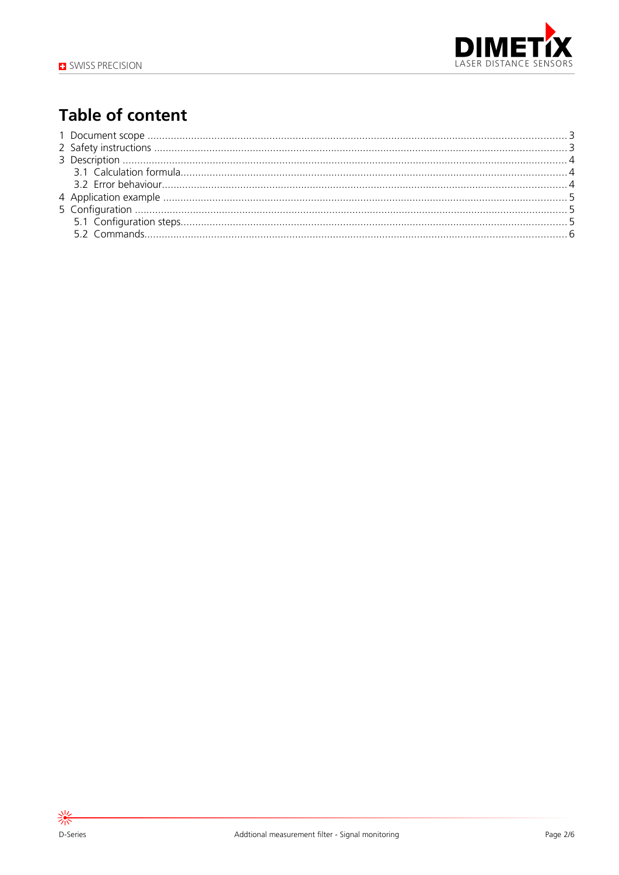

# **Table of content**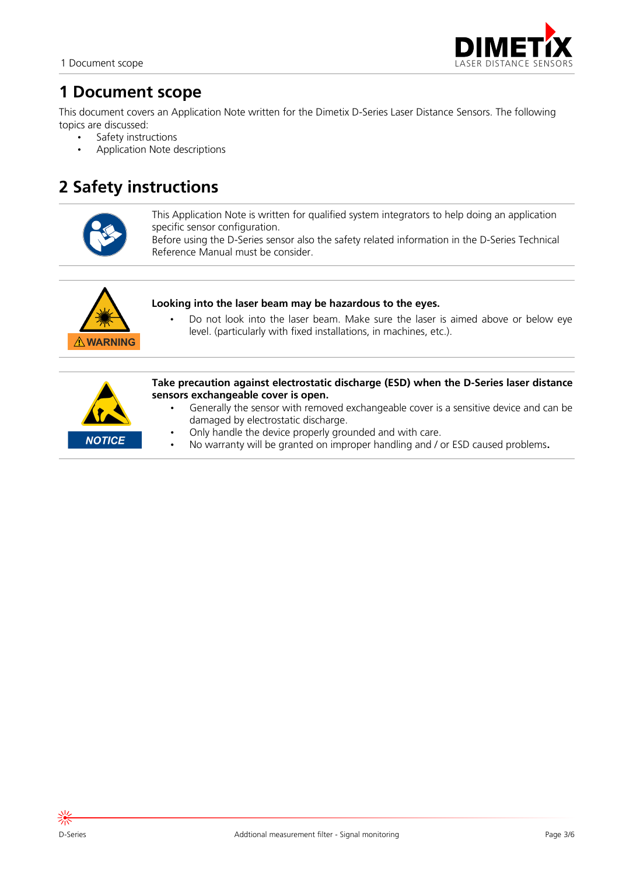

## **1 Document scope**

This document covers an Application Note written for the Dimetix D-Series Laser Distance Sensors. The following topics are discussed:

- Safety instructions
- Application Note descriptions

## **2 Safety instructions**



This Application Note is written for qualified system integrators to help doing an application specific sensor configuration.

Before using the D-Series sensor also the safety related information in the D-Series Technical Reference Manual must be consider.



#### **Looking into the laser beam may be hazardous to the eyes.**

• Do not look into the laser beam. Make sure the laser is aimed above or below eye level. (particularly with fixed installations, in machines, etc.).



**Take precaution against electrostatic discharge (ESD) when the D-Series laser distance sensors exchangeable cover is open.**

- Generally the sensor with removed exchangeable cover is a sensitive device and can be damaged by electrostatic discharge.
- Only handle the device properly grounded and with care.
- No warranty will be granted on improper handling and / or ESD caused problems**.**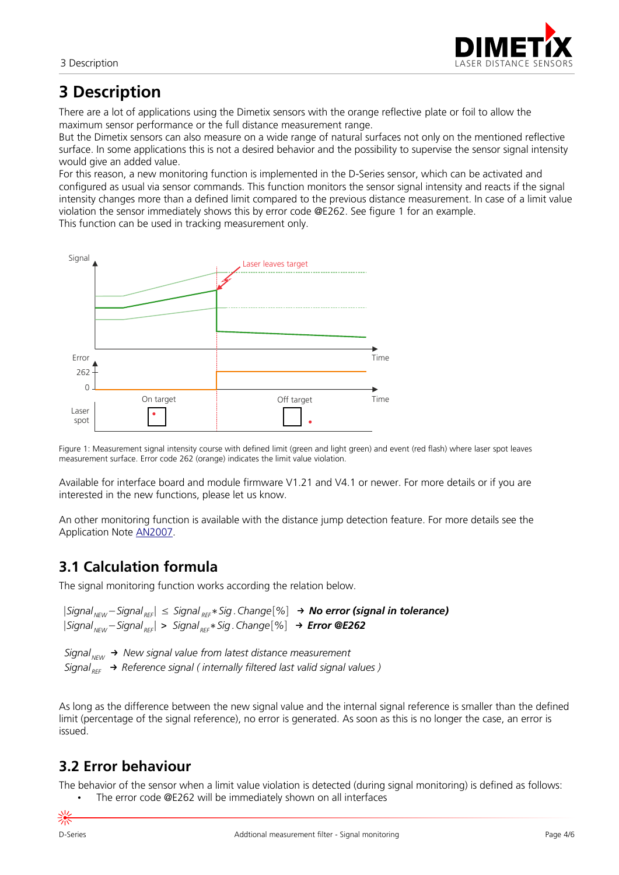

## **3 Description**

There are a lot of applications using the Dimetix sensors with the orange reflective plate or foil to allow the maximum sensor performance or the full distance measurement range.

But the Dimetix sensors can also measure on a wide range of natural surfaces not only on the mentioned reflective surface. In some applications this is not a desired behavior and the possibility to supervise the sensor signal intensity would give an added value.

For this reason, a new monitoring function is implemented in the D-Series sensor, which can be activated and configured as usual via sensor commands. This function monitors the sensor signal intensity and reacts if the signal intensity changes more than a defined limit compared to the previous distance measurement. In case of a limit value violation the sensor immediately shows this by error code @E262. See figure [1](#page-3-0) for an example.

This function can be used in tracking measurement only.



<span id="page-3-0"></span>Figure 1: Measurement signal intensity course with defined limit (green and light green) and event (red flash) where laser spot leaves measurement surface. Error code 262 (orange) indicates the limit value violation.

Available for interface board and module firmware V1.21 and V4.1 or newer. For more details or if you are interested in the new functions, please let us know.

An other monitoring function is available with the distance jump detection feature. For more details see the Application Note [AN2007](https://dimetix.com/en/application/type/#an2007-additional-measurement-filter-distance-jump).

### **3.1 Calculation formula**

The signal monitoring function works according the relation below.

|*SignalNEW* −*Signal REF*| ≤ *Signal REF*∗*Sig .Change*[*%*]→ *No error (signal in tolerance)* |*SignalNEW* −*Signal REF*| > *Signal REF*∗*Sig .Change*[*%*]→ *Error @E262*

*SignalNEW* → *New signal value from latest distance measurement* Signal<sub>REF</sub> → Reference signal ( internally filtered last valid signal values )

As long as the difference between the new signal value and the internal signal reference is smaller than the defined limit (percentage of the signal reference), no error is generated. As soon as this is no longer the case, an error is issued.

### **3.2 Error behaviour**

The behavior of the sensor when a limit value violation is detected (during signal monitoring) is defined as follows: • The error code @E262 will be immediately shown on all interfaces

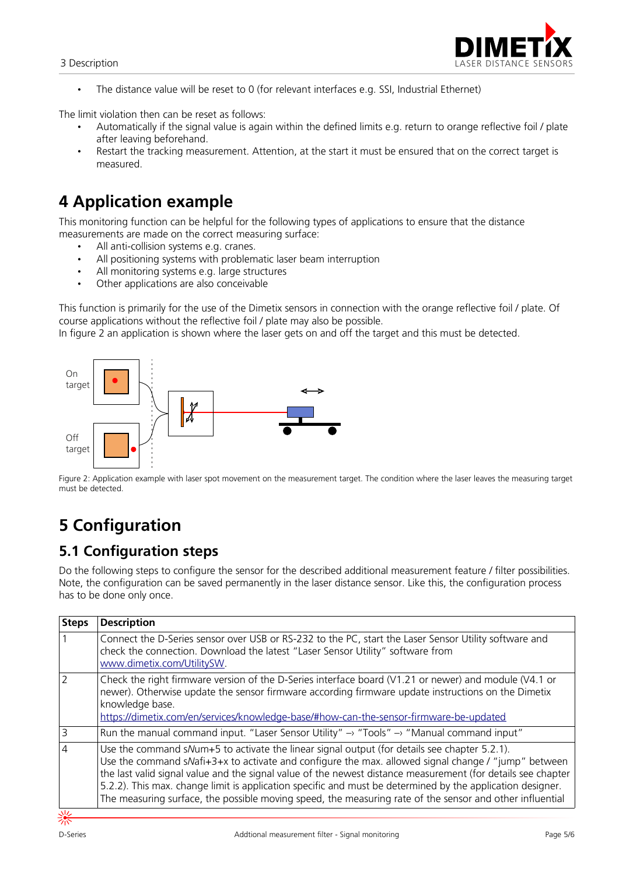

• The distance value will be reset to 0 (for relevant interfaces e.g. SSI, Industrial Ethernet)

The limit violation then can be reset as follows:

- Automatically if the signal value is again within the defined limits e.g. return to orange reflective foil / plate after leaving beforehand.
- Restart the tracking measurement. Attention, at the start it must be ensured that on the correct target is measured.

## **4 Application example**

This monitoring function can be helpful for the following types of applications to ensure that the distance measurements are made on the correct measuring surface:

- All anti-collision systems e.g. cranes.
- All positioning systems with problematic laser beam interruption
- All monitoring systems e.g. large structures
- Other applications are also conceivable

This function is primarily for the use of the Dimetix sensors in connection with the orange reflective foil / plate. Of course applications without the reflective foil / plate may also be possible.

In figure [2](#page-4-0) an application is shown where the laser gets on and off the target and this must be detected.



<span id="page-4-0"></span>Figure 2: Application example with laser spot movement on the measurement target. The condition where the laser leaves the measuring target must be detected.

# **5 Configuration**

### **5.1 Configuration steps**

Do the following steps to configure the sensor for the described additional measurement feature / filter possibilities. Note, the configuration can be saved permanently in the laser distance sensor. Like this, the configuration process has to be done only once.

| <b>Steps</b> | <b>Description</b>                                                                                                                                                                                                                                                                                                                                                                                                                                                                                                                            |
|--------------|-----------------------------------------------------------------------------------------------------------------------------------------------------------------------------------------------------------------------------------------------------------------------------------------------------------------------------------------------------------------------------------------------------------------------------------------------------------------------------------------------------------------------------------------------|
|              | Connect the D-Series sensor over USB or RS-232 to the PC, start the Laser Sensor Utility software and<br>check the connection. Download the latest "Laser Sensor Utility" software from<br>www.dimetix.com/UtilitySW                                                                                                                                                                                                                                                                                                                          |
|              | Check the right firmware version of the D-Series interface board (V1.21 or newer) and module (V4.1 or<br>newer). Otherwise update the sensor firmware according firmware update instructions on the Dimetix<br>knowledge base.<br>https://dimetix.com/en/services/knowledge-base/#how-can-the-sensor-firmware-be-updated                                                                                                                                                                                                                      |
| 3            | Run the manual command input. "Laser Sensor Utility" $\rightarrow$ "Tools" $\rightarrow$ "Manual command input"                                                                                                                                                                                                                                                                                                                                                                                                                               |
| 4            | Use the command sNum+5 to activate the linear signal output (for details see chapter 5.2.1).<br>Use the command sNafi+3+x to activate and configure the max. allowed signal change / "jump" between<br>the last valid signal value and the signal value of the newest distance measurement (for details see chapter<br>5.2.2). This max. change limit is application specific and must be determined by the application designer.<br>The measuring surface, the possible moving speed, the measuring rate of the sensor and other influential |
| 小            |                                                                                                                                                                                                                                                                                                                                                                                                                                                                                                                                               |